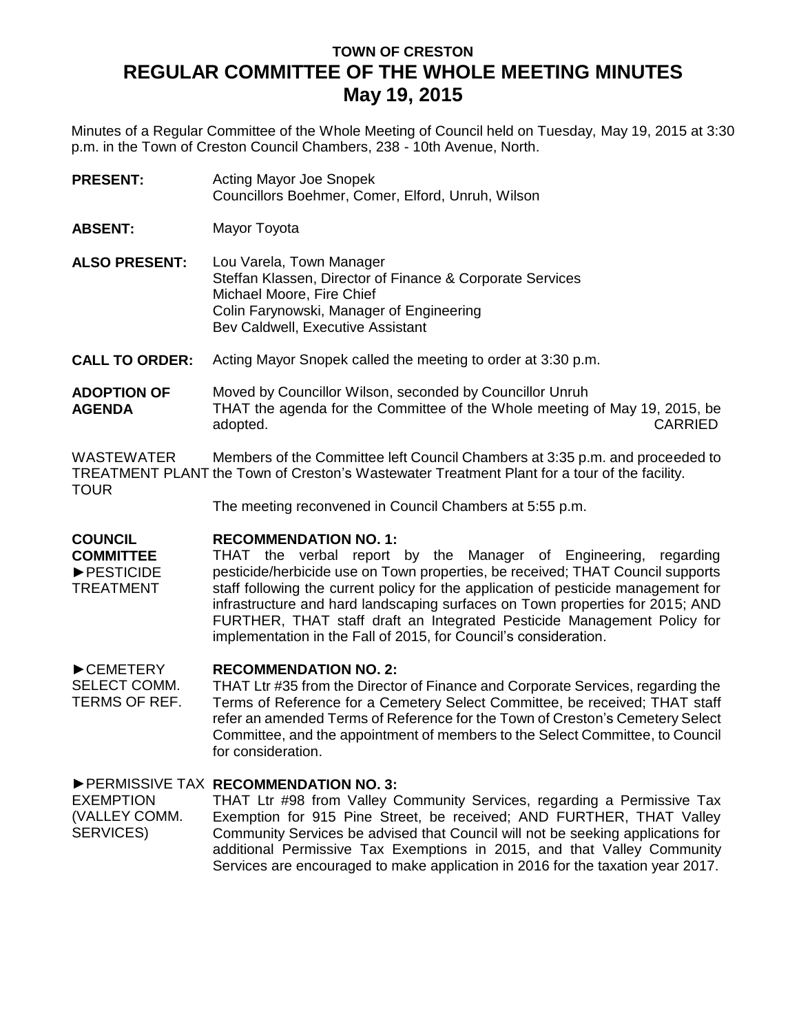# **TOWN OF CRESTON REGULAR COMMITTEE OF THE WHOLE MEETING MINUTES May 19, 2015**

Minutes of a Regular Committee of the Whole Meeting of Council held on Tuesday, May 19, 2015 at 3:30 p.m. in the Town of Creston Council Chambers, 238 - 10th Avenue, North.

| <b>PRESENT:</b> | Acting Mayor Joe Snopek                           |
|-----------------|---------------------------------------------------|
|                 | Councillors Boehmer, Comer, Elford, Unruh, Wilson |

**ABSENT:** Mayor Toyota

**ALSO PRESENT:** Lou Varela, Town Manager Steffan Klassen, Director of Finance & Corporate Services Michael Moore, Fire Chief Colin Farynowski, Manager of Engineering Bev Caldwell, Executive Assistant

**CALL TO ORDER:** Acting Mayor Snopek called the meeting to order at 3:30 p.m.

## **ADOPTION OF AGENDA** Moved by Councillor Wilson, seconded by Councillor Unruh THAT the agenda for the Committee of the Whole meeting of May 19, 2015, be adopted. CARRIED

WASTEWATER TREATMENT PLANT the Town of Creston's Wastewater Treatment Plant for a tour of the facility. TOUR Members of the Committee left Council Chambers at 3:35 p.m. and proceeded to

The meeting reconvened in Council Chambers at 5:55 p.m.

#### **COUNCIL RECOMMENDATION NO. 1:**

**COMMITTEE** ►PESTICIDE TREATMENT THAT the verbal report by the Manager of Engineering, regarding pesticide/herbicide use on Town properties, be received; THAT Council supports staff following the current policy for the application of pesticide management for infrastructure and hard landscaping surfaces on Town properties for 2015; AND FURTHER, THAT staff draft an Integrated Pesticide Management Policy for implementation in the Fall of 2015, for Council's consideration.

#### ►CEMETERY **RECOMMENDATION NO. 2:**

SELECT COMM. TERMS OF REF. THAT Ltr #35 from the Director of Finance and Corporate Services, regarding the Terms of Reference for a Cemetery Select Committee, be received; THAT staff refer an amended Terms of Reference for the Town of Creston's Cemetery Select Committee, and the appointment of members to the Select Committee, to Council for consideration.

# ►PERMISSIVE TAX **RECOMMENDATION NO. 3:**

EXEMPTION (VALLEY COMM. SERVICES) THAT Ltr #98 from Valley Community Services, regarding a Permissive Tax Exemption for 915 Pine Street, be received; AND FURTHER, THAT Valley Community Services be advised that Council will not be seeking applications for additional Permissive Tax Exemptions in 2015, and that Valley Community Services are encouraged to make application in 2016 for the taxation year 2017.